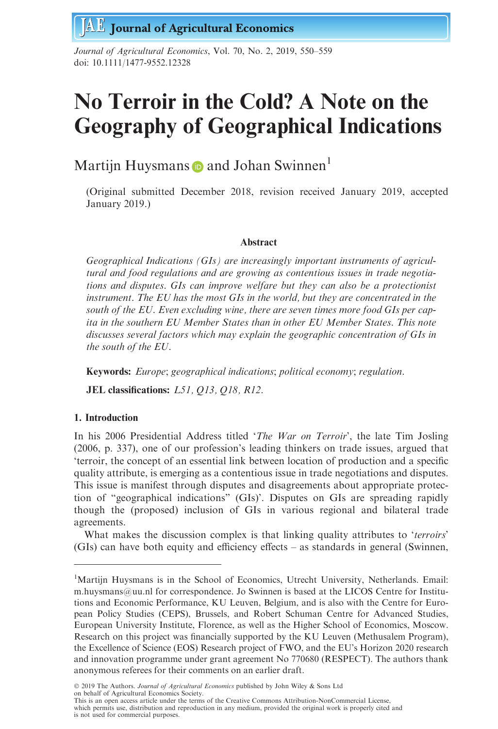Journal of Agricultural Economics, Vol. 70, No. 2, 2019, 550–559 doi: 10.1111/1477-9552.12328

# No Terroir in the Cold? A Note on the Geography of Geographical Indications

Martijn Huysmans  $\bullet$  and Johan Swinnen<sup>1</sup>

(Original submitted December 2018, revision received January 2019, accepted January 2019.)

# Abstract

Geographical Indications (GIs) are increasingly important instruments of agricultural and food regulations and are growing as contentious issues in trade negotiations and disputes. GIs can improve welfare but they can also be a protectionist instrument. The EU has the most GIs in the world, but they are concentrated in the south of the EU. Even excluding wine, there are seven times more food GIs per capita in the southern EU Member States than in other EU Member States. This note discusses several factors which may explain the geographic concentration of GIs in the south of the EU.

Keywords: Europe; geographical indications; political economy; regulation.

JEL classifications: L51, Q13, Q18, R12.

# 1. Introduction

In his 2006 Presidential Address titled 'The War on Terroir', the late Tim Josling (2006, p. 337), one of our profession's leading thinkers on trade issues, argued that 'terroir, the concept of an essential link between location of production and a specific quality attribute, is emerging as a contentious issue in trade negotiations and disputes. This issue is manifest through disputes and disagreements about appropriate protection of "geographical indications" (GIs)'. Disputes on GIs are spreading rapidly though the (proposed) inclusion of GIs in various regional and bilateral trade agreements.

What makes the discussion complex is that linking quality attributes to 'terroirs' (GIs) can have both equity and efficiency effects – as standards in general (Swinnen,

2019 The Authors. Journal of Agricultural Economics published by John Wiley & Sons Ltd

on behalf of Agricultural Economics Society.

is not used for commercial purposes.

This is an open access article under the terms of the [Creative Commons Attribution-NonCommercial](http://creativecommons.org/licenses/by-nc/4.0/) License, which permits use, distribution and reproduction in any medium, provided the original work is properly cited and

<sup>&</sup>lt;sup>1</sup>Martijn Huysmans is in the School of Economics, Utrecht University, Netherlands. Email: [m.huysmans@uu.nl](mailto:) for correspondence. Jo Swinnen is based at the LICOS Centre for Institutions and Economic Performance, KU Leuven, Belgium, and is also with the Centre for European Policy Studies (CEPS), Brussels, and Robert Schuman Centre for Advanced Studies, European University Institute, Florence, as well as the Higher School of Economics, Moscow. Research on this project was financially supported by the KU Leuven (Methusalem Program), the Excellence of Science (EOS) Research project of FWO, and the EU's Horizon 2020 research and innovation programme under grant agreement No 770680 (RESPECT). The authors thank anonymous referees for their comments on an earlier draft.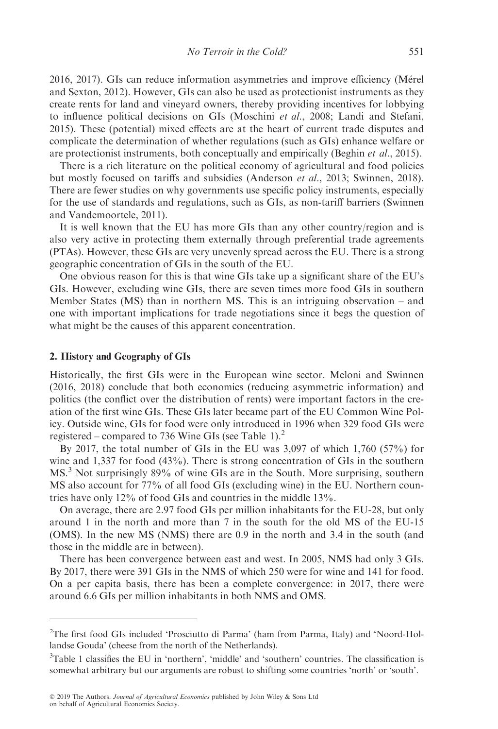2016, 2017). GIs can reduce information asymmetries and improve efficiency (Mérel and Sexton, 2012). However, GIs can also be used as protectionist instruments as they create rents for land and vineyard owners, thereby providing incentives for lobbying to influence political decisions on GIs (Moschini et al., 2008; Landi and Stefani, 2015). These (potential) mixed effects are at the heart of current trade disputes and complicate the determination of whether regulations (such as GIs) enhance welfare or are protectionist instruments, both conceptually and empirically (Beghin  $et$   $al$ , 2015).

There is a rich literature on the political economy of agricultural and food policies but mostly focused on tariffs and subsidies (Anderson et al., 2013; Swinnen, 2018). There are fewer studies on why governments use specific policy instruments, especially for the use of standards and regulations, such as GIs, as non-tariff barriers (Swinnen and Vandemoortele, 2011).

It is well known that the EU has more GIs than any other country/region and is also very active in protecting them externally through preferential trade agreements (PTAs). However, these GIs are very unevenly spread across the EU. There is a strong geographic concentration of GIs in the south of the EU.

One obvious reason for this is that wine GIs take up a significant share of the EU's GIs. However, excluding wine GIs, there are seven times more food GIs in southern Member States (MS) than in northern MS. This is an intriguing observation – and one with important implications for trade negotiations since it begs the question of what might be the causes of this apparent concentration.

### 2. History and Geography of GIs

Historically, the first GIs were in the European wine sector. Meloni and Swinnen (2016, 2018) conclude that both economics (reducing asymmetric information) and politics (the conflict over the distribution of rents) were important factors in the creation of the first wine GIs. These GIs later became part of the EU Common Wine Policy. Outside wine, GIs for food were only introduced in 1996 when 329 food GIs were registered – compared to 736 Wine GIs (see Table 1).<sup>2</sup>

By 2017, the total number of GIs in the EU was 3,097 of which 1,760 (57%) for wine and 1,337 for food (43%). There is strong concentration of GIs in the southern  $MS<sup>3</sup>$  Not surprisingly 89% of wine GIs are in the South. More surprising, southern MS also account for 77% of all food GIs (excluding wine) in the EU. Northern countries have only 12% of food GIs and countries in the middle 13%.

On average, there are 2.97 food GIs per million inhabitants for the EU-28, but only around 1 in the north and more than 7 in the south for the old MS of the EU-15 (OMS). In the new MS (NMS) there are 0.9 in the north and 3.4 in the south (and those in the middle are in between).

There has been convergence between east and west. In 2005, NMS had only 3 GIs. By 2017, there were 391 GIs in the NMS of which 250 were for wine and 141 for food. On a per capita basis, there has been a complete convergence: in 2017, there were around 6.6 GIs per million inhabitants in both NMS and OMS.

<sup>&</sup>lt;sup>2</sup>The first food GIs included 'Prosciutto di Parma' (ham from Parma, Italy) and 'Noord-Hollandse Gouda' (cheese from the north of the Netherlands).

<sup>&</sup>lt;sup>3</sup>Table 1 classifies the EU in 'northern', 'middle' and 'southern' countries. The classification is somewhat arbitrary but our arguments are robust to shifting some countries 'north' or 'south'.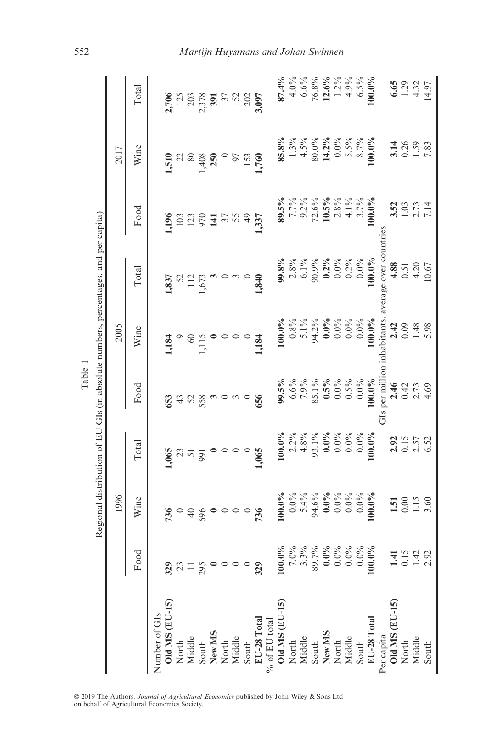| 125<br>202<br>85.8%<br>$1.3\%$<br>$4.5\%$<br>80.0%<br>$14.2\%$<br>$0.0\%$<br>$5.5\%$<br>8.7%<br>$0.00\%$<br>3.14<br>0.26<br>1.59<br>7.83<br>Wine<br>2017<br>510<br>1,408<br>$\frac{22}{80}$<br>250<br>1,760<br>50<br>153<br>89.5%<br>7.7%<br>72.6%<br>$10.5\%$<br>$9.2\%$<br>2.8%<br>$4.1\%$<br>3.7%<br>$00.0\%$<br>3.52<br>$\frac{1.03}{2.714}$<br>Food<br>Regional distribution of EU GIs (in absolute numbers, percentages, and per capita)<br>,196<br>84.83<br>1,337<br>103<br>$\overline{23}$<br>average over countries<br>$0.2\%$<br>$2.8\%$<br>90.9%<br>$0.2\%$<br>$0.0\%$<br>99.8%<br>$0.0\%$<br>$6.1\%$<br>$100.0\%$<br>4.88<br>4.20<br>10.67<br>0.51<br>Total<br>1,840<br>1,673<br>$\sim$ $\circ$<br>1,837<br>52<br>112<br>$0.8\%$<br>94.2%<br>$0.0\%$<br>$0.0\%$<br>$0.0\%$<br>$0.0\%$<br>$100.0\%$<br>5.1%<br>inhabitants<br>100.0%<br>2.42<br>0.09<br>1.48<br>5.98<br>2005<br>Wine<br>1,184<br>115<br>$\circ$<br>1,184<br>S<br>$\mathcal{S}$<br>GIs per million<br>$0.5\%$<br>$0.5\%$<br>$0.0\%$<br>$6.6\%$<br>7.9%<br>85.1%<br>$0.0\%$<br>99.5%<br>$100.0\%$<br>2.46<br>Food<br>0.42<br>4.69<br>2.73<br>$\sim$ $\circ$<br>656<br>$\omega$<br>$\circ$<br>653<br>43<br>52<br>558<br>$100.0\%$<br>$2.2\%$<br>4.8%<br>93.1%<br>$0.0\%$<br>$0.0\%$<br>$0.0\%$<br>$0.0\%$<br>$100.0\%$<br>$0.15$<br>$2.57$<br>$6.52$<br>2.92<br>Total<br>1,065<br>1,065<br>$\circ$<br>23<br>991<br>$\overline{5}$<br>$0.0\%$<br>5.4%<br>94.6%<br>$0.0\%$<br>$0.0\%$<br>100.0%<br>$0.0\%$<br>$100.0\%$<br>1996<br>$0.0\%$<br>Wine<br>0.00<br>$1.15$<br>3.60<br>1.51<br>$rac{0}{25}$<br>$\frac{6}{6}$ $\circ$<br>736<br>$\circ$ 40<br>$7.0\%$<br>$3.3\%$<br>89.7%<br>$0.0\%$<br>$0.0\%$<br>$100.0\%$<br>$0.0\%$<br>$0.0\%$<br>$100.0\%$<br>Food<br>0.15<br>$1.42$<br>$2.92$<br>$\pm 1$<br>329<br>295<br>Old MS (EU-15)<br>Old MS $(EU-15)$<br>Old MS (EU-15)<br>Number of GIs |  |  | Table 1 |  |  |                          |
|---------------------------------------------------------------------------------------------------------------------------------------------------------------------------------------------------------------------------------------------------------------------------------------------------------------------------------------------------------------------------------------------------------------------------------------------------------------------------------------------------------------------------------------------------------------------------------------------------------------------------------------------------------------------------------------------------------------------------------------------------------------------------------------------------------------------------------------------------------------------------------------------------------------------------------------------------------------------------------------------------------------------------------------------------------------------------------------------------------------------------------------------------------------------------------------------------------------------------------------------------------------------------------------------------------------------------------------------------------------------------------------------------------------------------------------------------------------------------------------------------------------------------------------------------------------------------------------------------------------------------------------------------------------------------------------------------------------------------------------------------------------------------------------------------------------------------------------------------------------------|--|--|---------|--|--|--------------------------|
|                                                                                                                                                                                                                                                                                                                                                                                                                                                                                                                                                                                                                                                                                                                                                                                                                                                                                                                                                                                                                                                                                                                                                                                                                                                                                                                                                                                                                                                                                                                                                                                                                                                                                                                                                                                                                                                                     |  |  |         |  |  |                          |
|                                                                                                                                                                                                                                                                                                                                                                                                                                                                                                                                                                                                                                                                                                                                                                                                                                                                                                                                                                                                                                                                                                                                                                                                                                                                                                                                                                                                                                                                                                                                                                                                                                                                                                                                                                                                                                                                     |  |  |         |  |  | Total                    |
|                                                                                                                                                                                                                                                                                                                                                                                                                                                                                                                                                                                                                                                                                                                                                                                                                                                                                                                                                                                                                                                                                                                                                                                                                                                                                                                                                                                                                                                                                                                                                                                                                                                                                                                                                                                                                                                                     |  |  |         |  |  |                          |
|                                                                                                                                                                                                                                                                                                                                                                                                                                                                                                                                                                                                                                                                                                                                                                                                                                                                                                                                                                                                                                                                                                                                                                                                                                                                                                                                                                                                                                                                                                                                                                                                                                                                                                                                                                                                                                                                     |  |  |         |  |  | 2,706                    |
|                                                                                                                                                                                                                                                                                                                                                                                                                                                                                                                                                                                                                                                                                                                                                                                                                                                                                                                                                                                                                                                                                                                                                                                                                                                                                                                                                                                                                                                                                                                                                                                                                                                                                                                                                                                                                                                                     |  |  |         |  |  |                          |
|                                                                                                                                                                                                                                                                                                                                                                                                                                                                                                                                                                                                                                                                                                                                                                                                                                                                                                                                                                                                                                                                                                                                                                                                                                                                                                                                                                                                                                                                                                                                                                                                                                                                                                                                                                                                                                                                     |  |  |         |  |  | 203                      |
|                                                                                                                                                                                                                                                                                                                                                                                                                                                                                                                                                                                                                                                                                                                                                                                                                                                                                                                                                                                                                                                                                                                                                                                                                                                                                                                                                                                                                                                                                                                                                                                                                                                                                                                                                                                                                                                                     |  |  |         |  |  | 2,378                    |
|                                                                                                                                                                                                                                                                                                                                                                                                                                                                                                                                                                                                                                                                                                                                                                                                                                                                                                                                                                                                                                                                                                                                                                                                                                                                                                                                                                                                                                                                                                                                                                                                                                                                                                                                                                                                                                                                     |  |  |         |  |  | 391                      |
|                                                                                                                                                                                                                                                                                                                                                                                                                                                                                                                                                                                                                                                                                                                                                                                                                                                                                                                                                                                                                                                                                                                                                                                                                                                                                                                                                                                                                                                                                                                                                                                                                                                                                                                                                                                                                                                                     |  |  |         |  |  | $\overline{\mathcal{E}}$ |
|                                                                                                                                                                                                                                                                                                                                                                                                                                                                                                                                                                                                                                                                                                                                                                                                                                                                                                                                                                                                                                                                                                                                                                                                                                                                                                                                                                                                                                                                                                                                                                                                                                                                                                                                                                                                                                                                     |  |  |         |  |  | 152                      |
|                                                                                                                                                                                                                                                                                                                                                                                                                                                                                                                                                                                                                                                                                                                                                                                                                                                                                                                                                                                                                                                                                                                                                                                                                                                                                                                                                                                                                                                                                                                                                                                                                                                                                                                                                                                                                                                                     |  |  |         |  |  |                          |
|                                                                                                                                                                                                                                                                                                                                                                                                                                                                                                                                                                                                                                                                                                                                                                                                                                                                                                                                                                                                                                                                                                                                                                                                                                                                                                                                                                                                                                                                                                                                                                                                                                                                                                                                                                                                                                                                     |  |  |         |  |  | 3,097                    |
|                                                                                                                                                                                                                                                                                                                                                                                                                                                                                                                                                                                                                                                                                                                                                                                                                                                                                                                                                                                                                                                                                                                                                                                                                                                                                                                                                                                                                                                                                                                                                                                                                                                                                                                                                                                                                                                                     |  |  |         |  |  |                          |
|                                                                                                                                                                                                                                                                                                                                                                                                                                                                                                                                                                                                                                                                                                                                                                                                                                                                                                                                                                                                                                                                                                                                                                                                                                                                                                                                                                                                                                                                                                                                                                                                                                                                                                                                                                                                                                                                     |  |  |         |  |  | 87.4%                    |
|                                                                                                                                                                                                                                                                                                                                                                                                                                                                                                                                                                                                                                                                                                                                                                                                                                                                                                                                                                                                                                                                                                                                                                                                                                                                                                                                                                                                                                                                                                                                                                                                                                                                                                                                                                                                                                                                     |  |  |         |  |  | $4.0\%$                  |
|                                                                                                                                                                                                                                                                                                                                                                                                                                                                                                                                                                                                                                                                                                                                                                                                                                                                                                                                                                                                                                                                                                                                                                                                                                                                                                                                                                                                                                                                                                                                                                                                                                                                                                                                                                                                                                                                     |  |  |         |  |  | $6.6\%$                  |
|                                                                                                                                                                                                                                                                                                                                                                                                                                                                                                                                                                                                                                                                                                                                                                                                                                                                                                                                                                                                                                                                                                                                                                                                                                                                                                                                                                                                                                                                                                                                                                                                                                                                                                                                                                                                                                                                     |  |  |         |  |  | $76.8\%$                 |
|                                                                                                                                                                                                                                                                                                                                                                                                                                                                                                                                                                                                                                                                                                                                                                                                                                                                                                                                                                                                                                                                                                                                                                                                                                                                                                                                                                                                                                                                                                                                                                                                                                                                                                                                                                                                                                                                     |  |  |         |  |  | $12.6\%$                 |
|                                                                                                                                                                                                                                                                                                                                                                                                                                                                                                                                                                                                                                                                                                                                                                                                                                                                                                                                                                                                                                                                                                                                                                                                                                                                                                                                                                                                                                                                                                                                                                                                                                                                                                                                                                                                                                                                     |  |  |         |  |  | $1.2\%$                  |
|                                                                                                                                                                                                                                                                                                                                                                                                                                                                                                                                                                                                                                                                                                                                                                                                                                                                                                                                                                                                                                                                                                                                                                                                                                                                                                                                                                                                                                                                                                                                                                                                                                                                                                                                                                                                                                                                     |  |  |         |  |  | 4.9%                     |
|                                                                                                                                                                                                                                                                                                                                                                                                                                                                                                                                                                                                                                                                                                                                                                                                                                                                                                                                                                                                                                                                                                                                                                                                                                                                                                                                                                                                                                                                                                                                                                                                                                                                                                                                                                                                                                                                     |  |  |         |  |  | $6.5\%$                  |
|                                                                                                                                                                                                                                                                                                                                                                                                                                                                                                                                                                                                                                                                                                                                                                                                                                                                                                                                                                                                                                                                                                                                                                                                                                                                                                                                                                                                                                                                                                                                                                                                                                                                                                                                                                                                                                                                     |  |  |         |  |  | $100.0\%$                |
|                                                                                                                                                                                                                                                                                                                                                                                                                                                                                                                                                                                                                                                                                                                                                                                                                                                                                                                                                                                                                                                                                                                                                                                                                                                                                                                                                                                                                                                                                                                                                                                                                                                                                                                                                                                                                                                                     |  |  |         |  |  |                          |
|                                                                                                                                                                                                                                                                                                                                                                                                                                                                                                                                                                                                                                                                                                                                                                                                                                                                                                                                                                                                                                                                                                                                                                                                                                                                                                                                                                                                                                                                                                                                                                                                                                                                                                                                                                                                                                                                     |  |  |         |  |  | 6.65                     |
|                                                                                                                                                                                                                                                                                                                                                                                                                                                                                                                                                                                                                                                                                                                                                                                                                                                                                                                                                                                                                                                                                                                                                                                                                                                                                                                                                                                                                                                                                                                                                                                                                                                                                                                                                                                                                                                                     |  |  |         |  |  | 1.29                     |
|                                                                                                                                                                                                                                                                                                                                                                                                                                                                                                                                                                                                                                                                                                                                                                                                                                                                                                                                                                                                                                                                                                                                                                                                                                                                                                                                                                                                                                                                                                                                                                                                                                                                                                                                                                                                                                                                     |  |  |         |  |  | 4.32                     |
|                                                                                                                                                                                                                                                                                                                                                                                                                                                                                                                                                                                                                                                                                                                                                                                                                                                                                                                                                                                                                                                                                                                                                                                                                                                                                                                                                                                                                                                                                                                                                                                                                                                                                                                                                                                                                                                                     |  |  |         |  |  | 14.97                    |

© 2019 The Authors. *Journal of Agricultural Economics* published by John Wiley & Sons Ltd on behalf of Agricultural Economics Society.

# 552 Martijn Huysmans and Johan Swinnen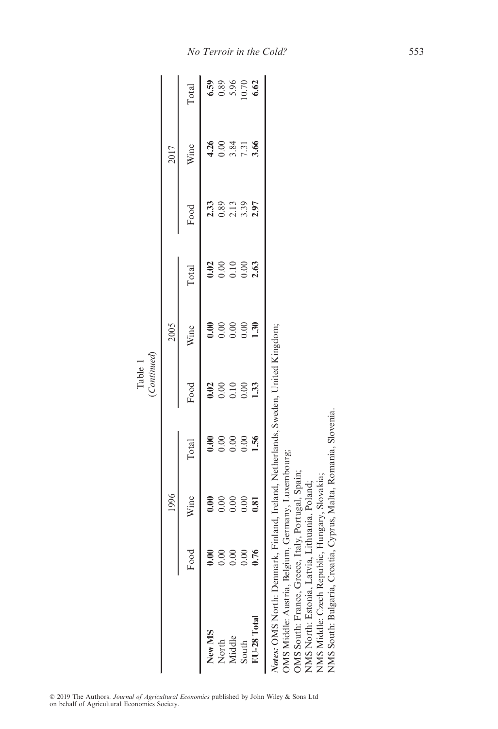|                                                                                   |      |      |       | (Continued)<br>Table 1 |      |       |      |                     |                 |
|-----------------------------------------------------------------------------------|------|------|-------|------------------------|------|-------|------|---------------------|-----------------|
|                                                                                   |      | 1996 |       |                        | 2005 |       |      | 2017                |                 |
|                                                                                   | Food | Wine | Total | Food                   | Wine | Total | Food | Wine                | Total           |
| New MS                                                                            |      | 0.00 | 0.00  | 0.02                   | 0.00 | 0.02  | 2.33 | 4.26                | 6.59            |
| North                                                                             | 0.00 | 0.00 | 0.00  | 0.00                   | 0.00 | 0.00  | 0.89 | 0.00                | 0.89            |
| Middle                                                                            | 0.00 | 0.00 | 0.00  | 0.10                   | 0.00 | 0.10  | 2.13 |                     | $5.96$<br>10.70 |
| South                                                                             | 0.00 | 0.00 | 0.00  | 0.00                   | 0.00 | 0.00  |      | $\frac{3.84}{7.31}$ |                 |
| EU-28 Total                                                                       | 0.76 | 0.81 | 1.56  | 1.33                   | 1.30 | 2.63  | 2.97 |                     | 6.62            |
| Notes: OMS North: Denmark, Finland, Ireland, Netherlands, Sweden, United Kingdom; |      |      |       |                        |      |       |      |                     |                 |
| OMS Middle: Austria, Belgium, Germany, Luxembourg;                                |      |      |       |                        |      |       |      |                     |                 |
| OMS South: France, Greece, Italy, Portugal, Spain;                                |      |      |       |                        |      |       |      |                     |                 |
| NMS North: Estonia, Latvia, Lithuania, Poland;                                    |      |      |       |                        |      |       |      |                     |                 |
| NMS Middle: Czech Republic, Hungary, Slovakia;                                    |      |      |       |                        |      |       |      |                     |                 |
| NMS South: Bulgaria, Croatia, Cyprus, Malta, Romania, Slovenia.                   |      |      |       |                        |      |       |      |                     |                 |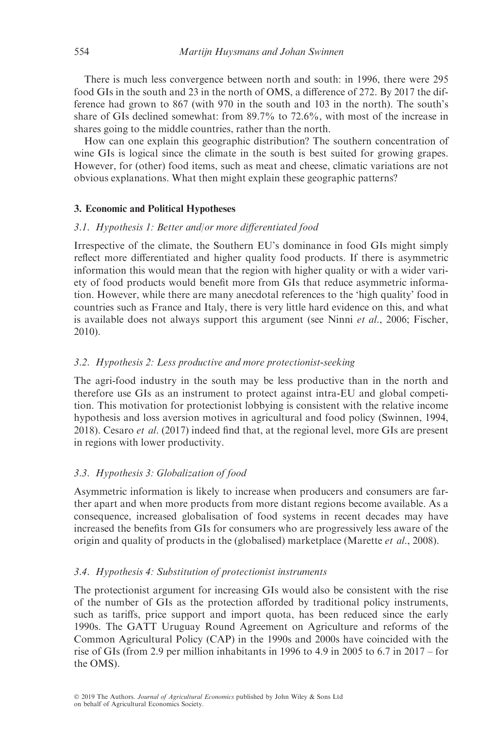There is much less convergence between north and south: in 1996, there were 295 food GIs in the south and 23 in the north of OMS, a difference of 272. By 2017 the difference had grown to 867 (with 970 in the south and 103 in the north). The south's share of GIs declined somewhat: from 89.7% to 72.6%, with most of the increase in shares going to the middle countries, rather than the north.

How can one explain this geographic distribution? The southern concentration of wine GIs is logical since the climate in the south is best suited for growing grapes. However, for (other) food items, such as meat and cheese, climatic variations are not obvious explanations. What then might explain these geographic patterns?

#### 3. Economic and Political Hypotheses

# 3.1. Hypothesis 1: Better and/or more differentiated food

Irrespective of the climate, the Southern EU's dominance in food GIs might simply reflect more differentiated and higher quality food products. If there is asymmetric information this would mean that the region with higher quality or with a wider variety of food products would benefit more from GIs that reduce asymmetric information. However, while there are many anecdotal references to the 'high quality' food in countries such as France and Italy, there is very little hard evidence on this, and what is available does not always support this argument (see Ninni et al., 2006; Fischer, 2010).

# 3.2. Hypothesis 2: Less productive and more protectionist-seeking

The agri-food industry in the south may be less productive than in the north and therefore use GIs as an instrument to protect against intra-EU and global competition. This motivation for protectionist lobbying is consistent with the relative income hypothesis and loss aversion motives in agricultural and food policy (Swinnen, 1994, 2018). Cesaro et al. (2017) indeed find that, at the regional level, more GIs are present in regions with lower productivity.

# 3.3. Hypothesis 3: Globalization of food

Asymmetric information is likely to increase when producers and consumers are farther apart and when more products from more distant regions become available. As a consequence, increased globalisation of food systems in recent decades may have increased the benefits from GIs for consumers who are progressively less aware of the origin and quality of products in the (globalised) marketplace (Marette *et al.*, 2008).

#### 3.4. Hypothesis 4: Substitution of protectionist instruments

The protectionist argument for increasing GIs would also be consistent with the rise of the number of GIs as the protection afforded by traditional policy instruments, such as tariffs, price support and import quota, has been reduced since the early 1990s. The GATT Uruguay Round Agreement on Agriculture and reforms of the Common Agricultural Policy (CAP) in the 1990s and 2000s have coincided with the rise of GIs (from 2.9 per million inhabitants in 1996 to 4.9 in 2005 to 6.7 in 2017 – for the OMS).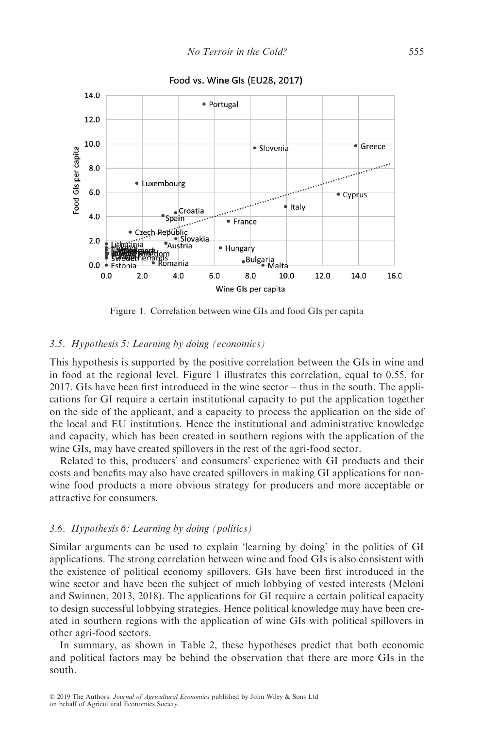

Food vs. Wine GIs (EU28, 2017)

Figure 1. Correlation between wine GIs and food GIs per capita

# 3.5. Hypothesis 5: Learning by doing (economics)

This hypothesis is supported by the positive correlation between the GIs in wine and in food at the regional level. Figure 1 illustrates this correlation, equal to 0.55, for 2017. GIs have been first introduced in the wine sector – thus in the south. The applications for GI require a certain institutional capacity to put the application together on the side of the applicant, and a capacity to process the application on the side of the local and EU institutions. Hence the institutional and administrative knowledge and capacity, which has been created in southern regions with the application of the wine GIs, may have created spillovers in the rest of the agri-food sector.

Related to this, producers' and consumers' experience with GI products and their costs and benefits may also have created spillovers in making GI applications for nonwine food products a more obvious strategy for producers and more acceptable or attractive for consumers.

#### 3.6. Hypothesis 6: Learning by doing (politics)

Similar arguments can be used to explain 'learning by doing' in the politics of GI applications. The strong correlation between wine and food GIs is also consistent with the existence of political economy spillovers. GIs have been first introduced in the wine sector and have been the subject of much lobbying of vested interests (Meloni and Swinnen, 2013, 2018). The applications for GI require a certain political capacity to design successful lobbying strategies. Hence political knowledge may have been created in southern regions with the application of wine GIs with political spillovers in other agri-food sectors.

In summary, as shown in Table 2, these hypotheses predict that both economic and political factors may be behind the observation that there are more GIs in the south.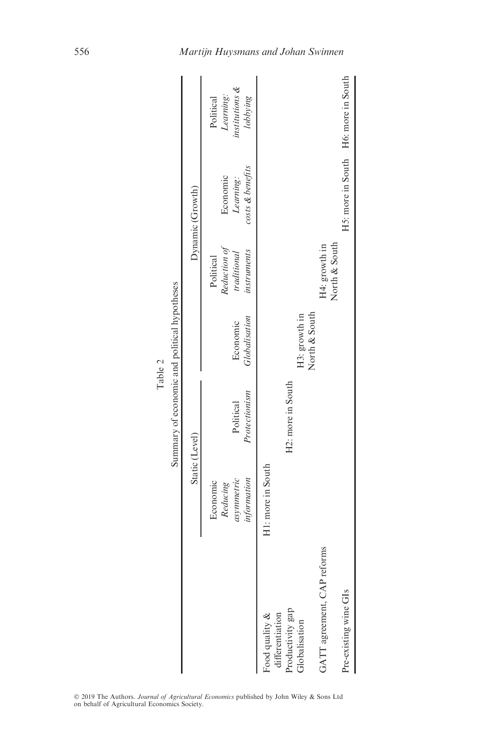|                                                                        |                                                   | Summary of economic and political hypotheses<br>Static (Level) |                           |                                                         | Dynamic (Growth)                          |                                                     |
|------------------------------------------------------------------------|---------------------------------------------------|----------------------------------------------------------------|---------------------------|---------------------------------------------------------|-------------------------------------------|-----------------------------------------------------|
|                                                                        | information<br>asymmetric<br>Economic<br>Reducing | Protectionism<br>Political                                     | Globalisation<br>Economic | Reduction of<br>instruments<br>traditional<br>Political | costs & benefits<br>Economic<br>Learning: | institutions &<br>Learning:<br>lobbing<br>Political |
| Productivity gap<br>differentiation<br>Food quality &<br>Globalisation | H1: more in South                                 | H <sub>2</sub> : more in South                                 | H3: growth in             |                                                         |                                           |                                                     |
| GATT agreement, CAP reforms                                            |                                                   |                                                                | North & South             | North & South<br>H4: growth in                          |                                           |                                                     |
| Pre-existing wine GIs                                                  |                                                   |                                                                |                           |                                                         | H5: more in South H6: more in South       |                                                     |

Summary of economic and political hypotheses Table 2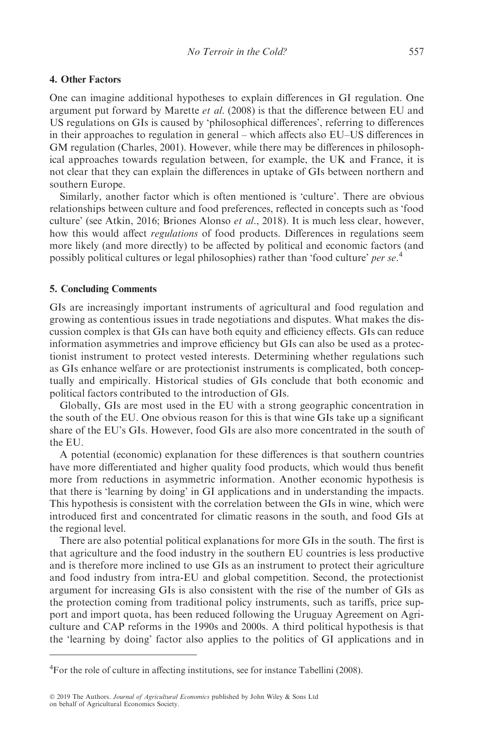#### 4. Other Factors

One can imagine additional hypotheses to explain differences in GI regulation. One argument put forward by Marette  $et$  al. (2008) is that the difference between EU and US regulations on GIs is caused by 'philosophical differences', referring to differences in their approaches to regulation in general – which affects also EU–US differences in GM regulation (Charles, 2001). However, while there may be differences in philosophical approaches towards regulation between, for example, the UK and France, it is not clear that they can explain the differences in uptake of GIs between northern and southern Europe.

Similarly, another factor which is often mentioned is 'culture'. There are obvious relationships between culture and food preferences, reflected in concepts such as 'food culture' (see Atkin, 2016; Briones Alonso et al., 2018). It is much less clear, however, how this would affect regulations of food products. Differences in regulations seem more likely (and more directly) to be affected by political and economic factors (and possibly political cultures or legal philosophies) rather than 'food culture' per se.<sup>4</sup>

#### 5. Concluding Comments

GIs are increasingly important instruments of agricultural and food regulation and growing as contentious issues in trade negotiations and disputes. What makes the discussion complex is that GIs can have both equity and efficiency effects. GIs can reduce information asymmetries and improve efficiency but GIs can also be used as a protectionist instrument to protect vested interests. Determining whether regulations such as GIs enhance welfare or are protectionist instruments is complicated, both conceptually and empirically. Historical studies of GIs conclude that both economic and political factors contributed to the introduction of GIs.

Globally, GIs are most used in the EU with a strong geographic concentration in the south of the EU. One obvious reason for this is that wine GIs take up a significant share of the EU's GIs. However, food GIs are also more concentrated in the south of the EU.

A potential (economic) explanation for these differences is that southern countries have more differentiated and higher quality food products, which would thus benefit more from reductions in asymmetric information. Another economic hypothesis is that there is 'learning by doing' in GI applications and in understanding the impacts. This hypothesis is consistent with the correlation between the GIs in wine, which were introduced first and concentrated for climatic reasons in the south, and food GIs at the regional level.

There are also potential political explanations for more GIs in the south. The first is that agriculture and the food industry in the southern EU countries is less productive and is therefore more inclined to use GIs as an instrument to protect their agriculture and food industry from intra-EU and global competition. Second, the protectionist argument for increasing GIs is also consistent with the rise of the number of GIs as the protection coming from traditional policy instruments, such as tariffs, price support and import quota, has been reduced following the Uruguay Agreement on Agriculture and CAP reforms in the 1990s and 2000s. A third political hypothesis is that the 'learning by doing' factor also applies to the politics of GI applications and in

<sup>&</sup>lt;sup>4</sup>For the role of culture in affecting institutions, see for instance Tabellini (2008).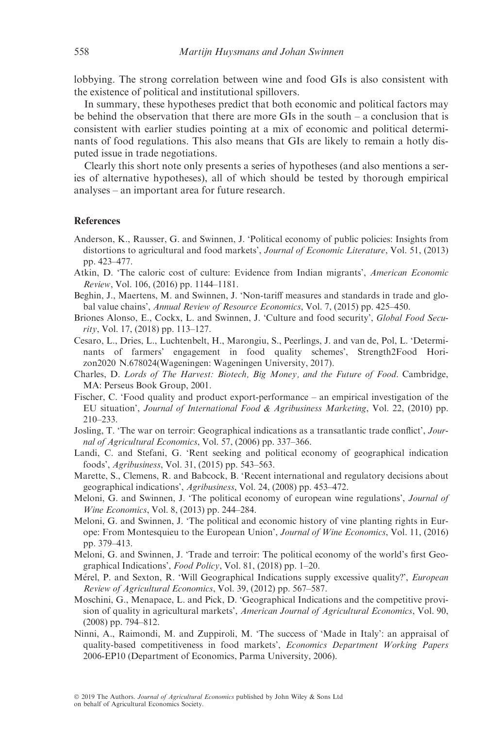lobbying. The strong correlation between wine and food GIs is also consistent with the existence of political and institutional spillovers.

In summary, these hypotheses predict that both economic and political factors may be behind the observation that there are more GIs in the south – a conclusion that is consistent with earlier studies pointing at a mix of economic and political determinants of food regulations. This also means that GIs are likely to remain a hotly disputed issue in trade negotiations.

Clearly this short note only presents a series of hypotheses (and also mentions a series of alternative hypotheses), all of which should be tested by thorough empirical analyses – an important area for future research.

## References

- Anderson, K., Rausser, G. and Swinnen, J. 'Political economy of public policies: Insights from distortions to agricultural and food markets', Journal of Economic Literature, Vol. 51, (2013) pp. 423–477.
- Atkin, D. 'The caloric cost of culture: Evidence from Indian migrants', American Economic Review, Vol. 106, (2016) pp. 1144–1181.
- Beghin, J., Maertens, M. and Swinnen, J. 'Non-tariff measures and standards in trade and global value chains', Annual Review of Resource Economics, Vol. 7, (2015) pp. 425–450.
- Briones Alonso, E., Cockx, L. and Swinnen, J. 'Culture and food security', Global Food Security, Vol. 17, (2018) pp. 113–127.
- Cesaro, L., Dries, L., Luchtenbelt, H., Marongiu, S., Peerlings, J. and van de, Pol, L. 'Determinants of farmers' engagement in food quality schemes', Strength2Food Horizon2020 N.678024(Wageningen: Wageningen University, 2017).
- Charles, D. Lords of The Harvest: Biotech, Big Money, and the Future of Food. Cambridge, MA: Perseus Book Group, 2001.
- Fischer, C. 'Food quality and product export-performance an empirical investigation of the EU situation', Journal of International Food & Agribusiness Marketing, Vol. 22, (2010) pp. 210–233.
- Josling, T. 'The war on terroir: Geographical indications as a transatlantic trade conflict', Journal of Agricultural Economics, Vol. 57, (2006) pp. 337–366.
- Landi, C. and Stefani, G. 'Rent seeking and political economy of geographical indication foods', Agribusiness, Vol. 31, (2015) pp. 543–563.
- Marette, S., Clemens, R. and Babcock, B. 'Recent international and regulatory decisions about geographical indications', Agribusiness, Vol. 24, (2008) pp. 453–472.
- Meloni, G. and Swinnen, J. 'The political economy of european wine regulations', Journal of Wine Economics, Vol. 8, (2013) pp. 244–284.
- Meloni, G. and Swinnen, J. 'The political and economic history of vine planting rights in Europe: From Montesquieu to the European Union', Journal of Wine Economics, Vol. 11, (2016) pp. 379–413.
- Meloni, G. and Swinnen, J. 'Trade and terroir: The political economy of the world's first Geographical Indications', Food Policy, Vol. 81, (2018) pp. 1–20.
- Mérel, P. and Sexton, R. 'Will Geographical Indications supply excessive quality?', European Review of Agricultural Economics, Vol. 39, (2012) pp. 567–587.
- Moschini, G., Menapace, L. and Pick, D. 'Geographical Indications and the competitive provision of quality in agricultural markets', American Journal of Agricultural Economics, Vol. 90, (2008) pp. 794–812.
- Ninni, A., Raimondi, M. and Zuppiroli, M. 'The success of 'Made in Italy': an appraisal of quality-based competitiveness in food markets', Economics Department Working Papers 2006-EP10 (Department of Economics, Parma University, 2006).